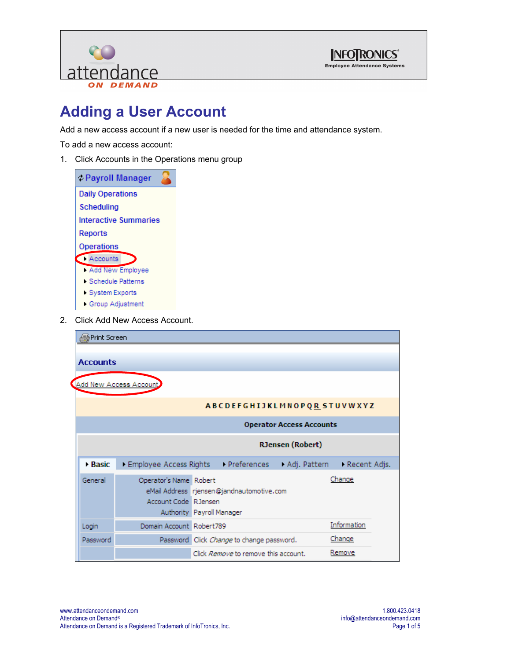



## **Adding a User Account**

Add a new access account if a new user is needed for the time and attendance system.

To add a new access account:

1. Click Accounts in the Operations menu group



2. Click Add New Access Account.

| ∰Print Screen                   |                                                |                           |                                           |                                     |             |  |
|---------------------------------|------------------------------------------------|---------------------------|-------------------------------------------|-------------------------------------|-------------|--|
| <b>Accounts</b>                 |                                                |                           |                                           |                                     |             |  |
|                                 | Add New Access Account                         |                           |                                           |                                     |             |  |
|                                 |                                                |                           |                                           | ABCDEFGHIJKLMNOPQ <u>R</u> STUVWXYZ |             |  |
| <b>Operator Access Accounts</b> |                                                |                           |                                           |                                     |             |  |
| <b>RJensen</b> (Robert)         |                                                |                           |                                           |                                     |             |  |
| <b>Basic</b>                    | Employee Access Rights Preferences             |                           |                                           | Adj. Pattern Recent Adjs.           |             |  |
| General                         | Operator's Name Robert<br>Account Code RJensen | Authority Payroll Manager | eMail Address rjensen@jandnautomotive.com |                                     | Change      |  |
| Login                           | Domain Account Robert789                       |                           |                                           |                                     | Information |  |
| Password                        |                                                |                           | Password Click Change to change password. |                                     | Change      |  |
|                                 |                                                |                           | Click Remove to remove this account.      |                                     | Remove      |  |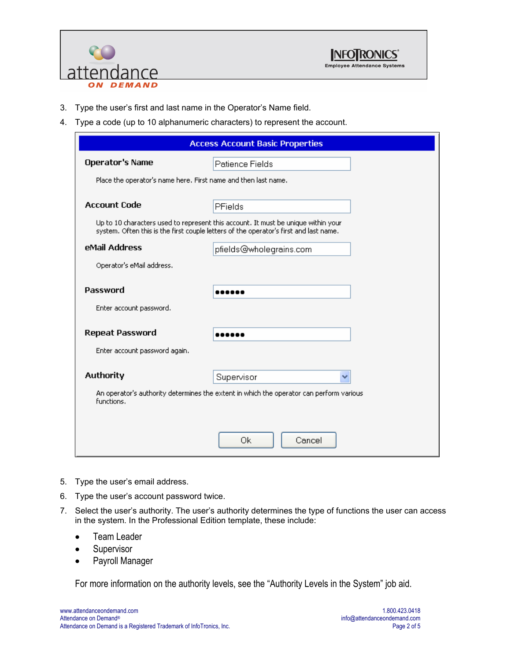



- 3. Type the user's first and last name in the Operator's Name field.
- 4. Type a code (up to 10 alphanumeric characters) to represent the account.

| <b>Access Account Basic Properties</b>                         |                                                                                                                                                                            |  |  |
|----------------------------------------------------------------|----------------------------------------------------------------------------------------------------------------------------------------------------------------------------|--|--|
| <b>Operator's Name</b>                                         | Patience Fields                                                                                                                                                            |  |  |
| Place the operator's name here. First name and then last name. |                                                                                                                                                                            |  |  |
| <b>Account Code</b>                                            |                                                                                                                                                                            |  |  |
|                                                                | <b>PFields</b>                                                                                                                                                             |  |  |
|                                                                | Up to 10 characters used to represent this account. It must be unique within your<br>system. Often this is the first couple letters of the operator's first and last name. |  |  |
| eMail Address                                                  | pfields@wholegrains.com                                                                                                                                                    |  |  |
| Operator's eMail address.                                      |                                                                                                                                                                            |  |  |
|                                                                |                                                                                                                                                                            |  |  |
| <b>Password</b>                                                |                                                                                                                                                                            |  |  |
| Enter account password.                                        |                                                                                                                                                                            |  |  |
| <b>Repeat Password</b>                                         | .                                                                                                                                                                          |  |  |
| Enter account password again.                                  |                                                                                                                                                                            |  |  |
|                                                                |                                                                                                                                                                            |  |  |
| <b>Authority</b>                                               | Supervisor                                                                                                                                                                 |  |  |
| functions.                                                     | An operator's authority determines the extent in which the operator can perform various                                                                                    |  |  |
|                                                                |                                                                                                                                                                            |  |  |
|                                                                |                                                                                                                                                                            |  |  |
|                                                                | Οk<br>Cancel                                                                                                                                                               |  |  |

- 5. Type the user's email address.
- 6. Type the user's account password twice.
- 7. Select the user's authority. The user's authority determines the type of functions the user can access in the system. In the Professional Edition template, these include:
	- Team Leader
	- Supervisor
	- Payroll Manager

For more information on the authority levels, see the "Authority Levels in the System" job aid.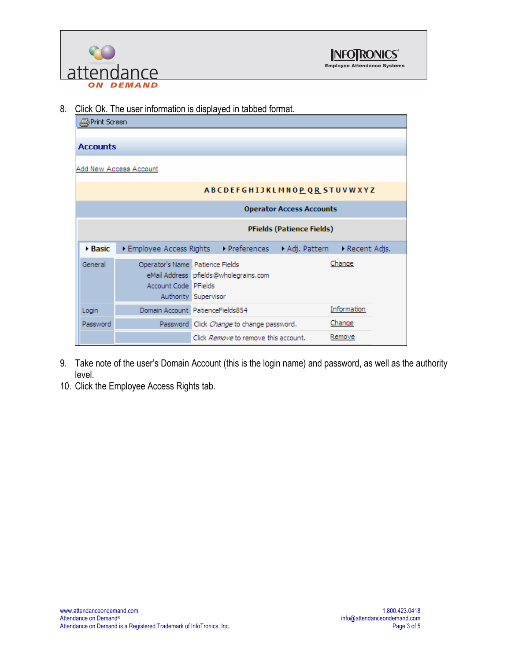

8. Click Ok. The user information is displayed in tabbed format.

| ∰Print Screen                    |                                                         |                                                               |                                 |                |
|----------------------------------|---------------------------------------------------------|---------------------------------------------------------------|---------------------------------|----------------|
|                                  |                                                         |                                                               |                                 |                |
| <b>Accounts</b>                  |                                                         |                                                               |                                 |                |
|                                  | Add New Access Account                                  |                                                               |                                 |                |
|                                  |                                                         | ABCDEFGHIJKLMNOPQRSTUVWXYZ                                    |                                 |                |
|                                  |                                                         |                                                               | <b>Operator Access Accounts</b> |                |
| <b>PFields (Patience Fields)</b> |                                                         |                                                               |                                 |                |
| $\triangleright$ Basic           |                                                         | Employee Access Rights Preferences                            | Adj. Pattern                    | → Recent Adjs. |
| General                          | Operator's Name Patience Fields<br>Account Code PFields | eMail Address pfields@wholegrains.com<br>Authority Supervisor |                                 | Change         |
| Login                            |                                                         | Domain Account PatienceFields854                              |                                 | Information    |
| Password                         |                                                         | Password Click Change to change password.                     |                                 | Change         |
|                                  |                                                         | Click Remove to remove this account.                          |                                 | Remove         |

- 9. Take note of the user's Domain Account (this is the login name) and password, as well as the authority level.
- 10. Click the Employee Access Rights tab.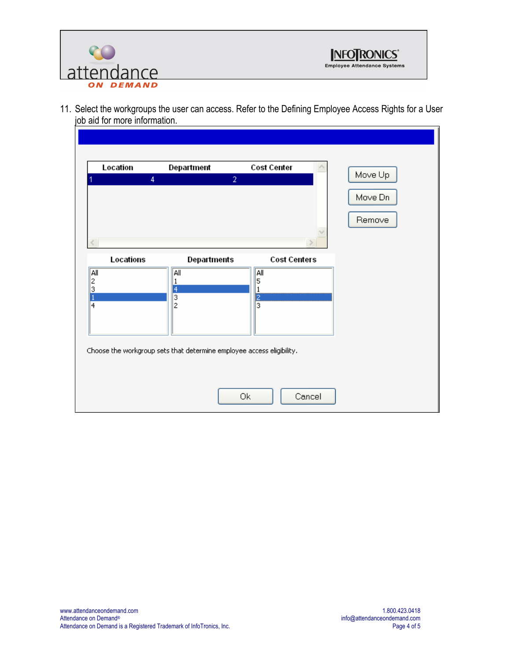



11. Select the workgroups the user can access. Refer to the Defining Employee Access Rights for a User job aid for more information.

| Location<br>$\overline{4}$ | Department<br>$\overline{2}$                                          | <b>Cost Center</b>   | Move Up |
|----------------------------|-----------------------------------------------------------------------|----------------------|---------|
|                            |                                                                       |                      |         |
|                            |                                                                       |                      | Move Dn |
|                            |                                                                       |                      | Remove  |
|                            |                                                                       |                      |         |
|                            |                                                                       |                      |         |
| Locations                  | <b>Departments</b>                                                    | <b>Cost Centers</b>  |         |
| All<br>2                   | All<br>1                                                              | $\sqrt{\frac{2}{5}}$ |         |
| 3<br>$\mathbf{1}$          | $\frac{4}{3}$                                                         |                      |         |
| $\overline{4}$             | $\overline{\mathbf{c}}$                                               | $\frac{2}{3}$        |         |
|                            |                                                                       |                      |         |
|                            |                                                                       |                      |         |
|                            | Choose the workgroup sets that determine employee access eligibility. |                      |         |
|                            |                                                                       |                      |         |
|                            |                                                                       |                      |         |
|                            |                                                                       | Ok<br>Cancel         |         |
|                            |                                                                       |                      |         |